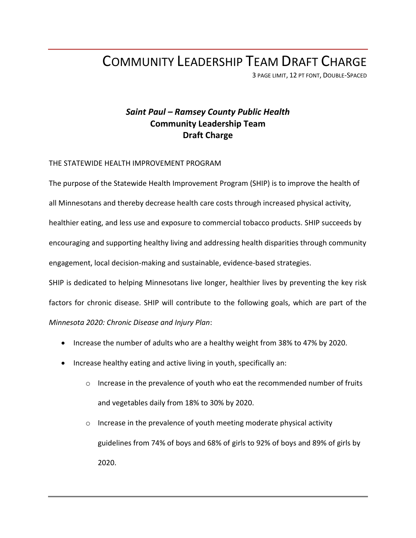## COMMUNITY LEADERSHIP TEAM DRAFT CHARGE

3 PAGE LIMIT, 12 PT FONT, DOUBLE-SPACED

### *Saint Paul – Ramsey County Public Health* **Community Leadership Team Draft Charge**

#### THE STATEWIDE HEALTH IMPROVEMENT PROGRAM

The purpose of the Statewide Health Improvement Program (SHIP) is to improve the health of all Minnesotans and thereby decrease health care costs through increased physical activity, healthier eating, and less use and exposure to commercial tobacco products. SHIP succeeds by encouraging and supporting healthy living and addressing health disparities through community engagement, local decision-making and sustainable, evidence-based strategies.

SHIP is dedicated to helping Minnesotans live longer, healthier lives by preventing the key risk factors for chronic disease. SHIP will contribute to the following goals, which are part of the *Minnesota 2020: Chronic Disease and Injury Plan*:

- Increase the number of adults who are a healthy weight from 38% to 47% by 2020.
- Increase healthy eating and active living in youth, specifically an:
	- $\circ$  Increase in the prevalence of youth who eat the recommended number of fruits and vegetables daily from 18% to 30% by 2020.
	- o Increase in the prevalence of youth meeting moderate physical activity guidelines from 74% of boys and 68% of girls to 92% of boys and 89% of girls by 2020.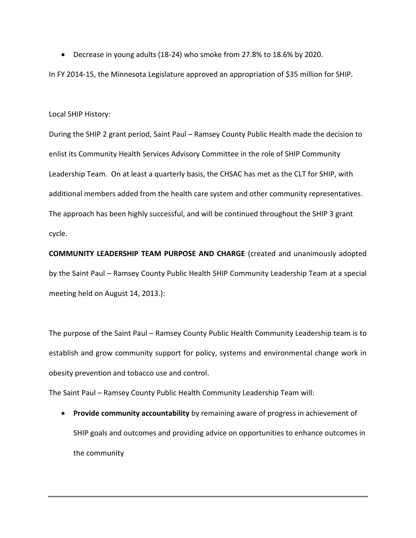Decrease in young adults (18-24) who smoke from 27.8% to 18.6% by 2020.

In FY 2014-15, the Minnesota Legislature approved an appropriation of \$35 million for SHIP.

#### Local SHIP History:

During the SHIP 2 grant period, Saint Paul – Ramsey County Public Health made the decision to enlist its Community Health Services Advisory Committee in the role of SHIP Community Leadership Team. On at least a quarterly basis, the CHSAC has met as the CLT for SHIP, with additional members added from the health care system and other community representatives. The approach has been highly successful, and will be continued throughout the SHIP 3 grant cycle.

**COMMUNITY LEADERSHIP TEAM PURPOSE AND CHARGE** (created and unanimously adopted by the Saint Paul – Ramsey County Public Health SHIP Community Leadership Team at a special meeting held on August 14, 2013.):

The purpose of the Saint Paul – Ramsey County Public Health Community Leadership team is to establish and grow community support for policy, systems and environmental change work in obesity prevention and tobacco use and control.

The Saint Paul – Ramsey County Public Health Community Leadership Team will:

 **Provide community accountability** by remaining aware of progress in achievement of SHIP goals and outcomes and providing advice on opportunities to enhance outcomes in the community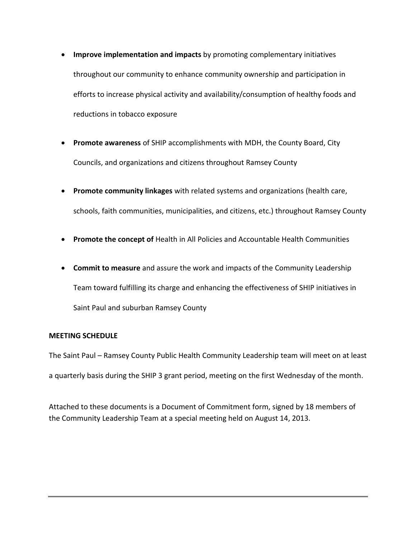- **Improve implementation and impacts** by promoting complementary initiatives throughout our community to enhance community ownership and participation in efforts to increase physical activity and availability/consumption of healthy foods and reductions in tobacco exposure
- **Promote awareness** of SHIP accomplishments with MDH, the County Board, City Councils, and organizations and citizens throughout Ramsey County
- **Promote community linkages** with related systems and organizations (health care, schools, faith communities, municipalities, and citizens, etc.) throughout Ramsey County
- **Promote the concept of** Health in All Policies and Accountable Health Communities
- **Commit to measure** and assure the work and impacts of the Community Leadership Team toward fulfilling its charge and enhancing the effectiveness of SHIP initiatives in Saint Paul and suburban Ramsey County

#### **MEETING SCHEDULE**

The Saint Paul – Ramsey County Public Health Community Leadership team will meet on at least a quarterly basis during the SHIP 3 grant period, meeting on the first Wednesday of the month.

Attached to these documents is a Document of Commitment form, signed by 18 members of the Community Leadership Team at a special meeting held on August 14, 2013.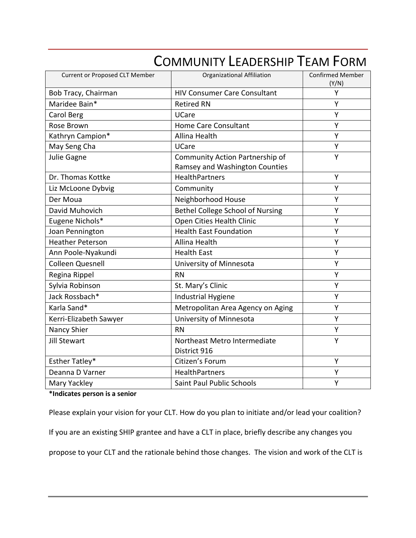| <b>Current or Proposed CLT Member</b> | <b>Organizational Affiliation</b>                                 | <b>Confirmed Member</b><br>(Y/N) |
|---------------------------------------|-------------------------------------------------------------------|----------------------------------|
| Bob Tracy, Chairman                   | <b>HIV Consumer Care Consultant</b>                               | Y                                |
| Maridee Bain*                         | <b>Retired RN</b>                                                 | Y                                |
| Carol Berg                            | <b>UCare</b>                                                      | Y                                |
| Rose Brown                            | Home Care Consultant                                              | Υ                                |
| Kathryn Campion*                      | Allina Health                                                     | Y                                |
| May Seng Cha                          | UCare                                                             | Υ                                |
| Julie Gagne                           | Community Action Partnership of<br>Ramsey and Washington Counties | Y                                |
| Dr. Thomas Kottke                     | <b>HealthPartners</b>                                             | Y                                |
| Liz McLoone Dybvig                    | Community                                                         | Υ                                |
| Der Moua                              | Neighborhood House                                                | Y                                |
| David Muhovich                        | Bethel College School of Nursing                                  | Υ                                |
| Eugene Nichols*                       | Open Cities Health Clinic                                         | Y                                |
| Joan Pennington                       | <b>Health East Foundation</b>                                     | Υ                                |
| <b>Heather Peterson</b>               | <b>Allina Health</b>                                              | Y                                |
| Ann Poole-Nyakundi                    | <b>Health East</b>                                                | Y                                |
| <b>Colleen Quesnell</b>               | University of Minnesota                                           | Y                                |
| Regina Rippel                         | <b>RN</b>                                                         | Υ                                |
| Sylvia Robinson                       | St. Mary's Clinic                                                 | Y                                |
| Jack Rossbach*                        | <b>Industrial Hygiene</b>                                         | Y                                |
| Karla Sand*                           | Metropolitan Area Agency on Aging                                 | Υ                                |
| Kerri-Elizabeth Sawyer                | University of Minnesota                                           | Y                                |
| Nancy Shier                           | <b>RN</b>                                                         | Υ                                |
| <b>Jill Stewart</b>                   | Northeast Metro Intermediate<br>District 916                      | Y                                |
| Esther Tatley*                        | Citizen's Forum                                                   | Y                                |
| Deanna D Varner                       | HealthPartners                                                    | Υ                                |
| Mary Yackley                          | <b>Saint Paul Public Schools</b>                                  | Y                                |

# COMMUNITY LEADERSHIP TEAM FORM

**\*Indicates person is a senior**

Please explain your vision for your CLT. How do you plan to initiate and/or lead your coalition?

If you are an existing SHIP grantee and have a CLT in place, briefly describe any changes you

propose to your CLT and the rationale behind those changes. The vision and work of the CLT is